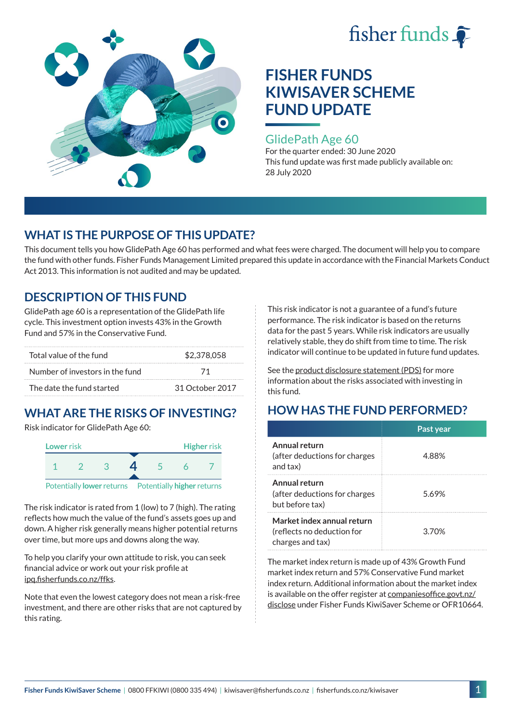



### GlidePath Age 60

For the quarter ended: 30 June 2020 This fund update was first made publicly available on: 28 July 2020

## **WHAT IS THE PURPOSE OF THIS UPDATE?**

This document tells you how GlidePath Age 60 has performed and what fees were charged. The document will help you to compare the fund with other funds. Fisher Funds Management Limited prepared this update in accordance with the Financial Markets Conduct Act 2013. This information is not audited and may be updated.

## **DESCRIPTION OF THIS FUND**

GlidePath age 60 is a representation of the GlidePath life cycle. This investment option invests 43% in the Growth Fund and 57% in the Conservative Fund.

| Total value of the fund         | \$2,378,058     |  |
|---------------------------------|-----------------|--|
| Number of investors in the fund | -71             |  |
| The date the fund started       | 31 October 2017 |  |

# **WHAT ARE THE RISKS OF INVESTING?**

Risk indicator for GlidePath Age 60:



The risk indicator is rated from 1 (low) to 7 (high). The rating

reflects how much the value of the fund's assets goes up and down. A higher risk generally means higher potential returns over time, but more ups and downs along the way.

To help you clarify your own attitude to risk, you can seek financial advice or work out your risk profile at [ipq.fisherfunds.co.nz/ffks](https://ipq.fisherfunds.co.nz/ffks).

Note that even the lowest category does not mean a risk-free investment, and there are other risks that are not captured by this rating.

This risk indicator is not a guarantee of a fund's future performance. The risk indicator is based on the returns data for the past 5 years. While risk indicators are usually relatively stable, they do shift from time to time. The risk indicator will continue to be updated in future fund updates.

See the [product disclosure statement \(PDS\)](https://fisherfunds.co.nz/assets/PDS/Fisher-Funds-KiwiSaver-Scheme-PDS.pdf) for more information about the risks associated with investing in this fund.

## **HOW HAS THE FUND PERFORMED?**

|                                                                              | Past year |
|------------------------------------------------------------------------------|-----------|
| Annual return<br>(after deductions for charges<br>and tax)                   | 4.88%     |
| Annual return<br>(after deductions for charges<br>but before tax)            | 5.69%     |
| Market index annual return<br>(reflects no deduction for<br>charges and tax) | 3.70%     |

The market index return is made up of 43% Growth Fund market index return and 57% Conservative Fund market index return. Additional information about the market index is available on the offer register at [companiesoffice.govt.nz/](http://companiesoffice.govt.nz/disclose) [disclose](http://companiesoffice.govt.nz/disclose) under Fisher Funds KiwiSaver Scheme or OFR10664.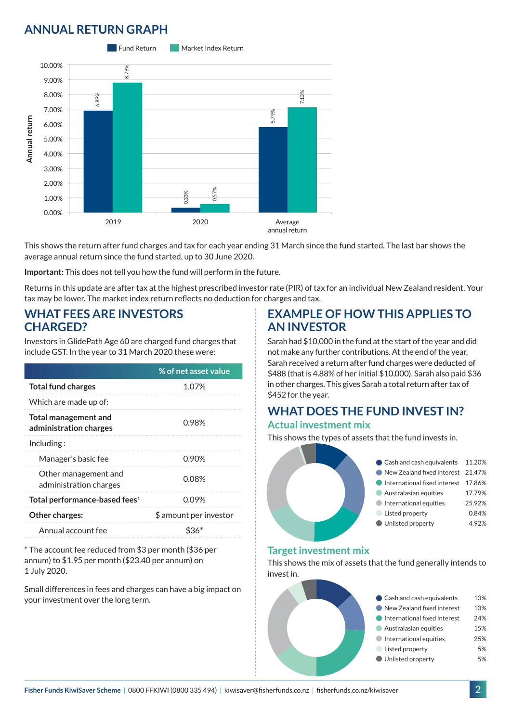## **ANNUAL RETURN GRAPH**



This shows the return after fund charges and tax for each year ending 31 March since the fund started. The last bar shows the average annual return since the fund started, up to 30 June 2020.

**Important:** This does not tell you how the fund will perform in the future.

Returns in this update are after tax at the highest prescribed investor rate (PIR) of tax for an individual New Zealand resident. Your tax may be lower. The market index return reflects no deduction for charges and tax.

#### **WHAT FEES ARE INVESTORS CHARGED?**

Investors in GlidePath Age 60 are charged fund charges that include GST. In the year to 31 March 2020 these were:

|                                                | % of net asset value   |
|------------------------------------------------|------------------------|
| <b>Total fund charges</b>                      | 1.07%                  |
| Which are made up of:                          |                        |
| Total management and<br>administration charges | 0.98%                  |
| Including:                                     |                        |
| Manager's basic fee                            | 0.90%                  |
| Other management and<br>administration charges | 0.08%                  |
| Total performance-based fees <sup>1</sup>      | 0.09%                  |
| <b>Other charges:</b>                          | \$ amount per investor |
| Annual account fee                             |                        |

\* The account fee reduced from \$3 per month (\$36 per annum) to \$1.95 per month (\$23.40 per annum) on 1 July 2020.

Small differences in fees and charges can have a big impact on your investment over the long term.

## **EXAMPLE OF HOW THIS APPLIES TO AN INVESTOR**

Sarah had \$10,000 in the fund at the start of the year and did not make any further contributions. At the end of the year, Sarah received a return after fund charges were deducted of \$488 (that is 4.88% of her initial \$10,000). Sarah also paid \$36 in other charges. This gives Sarah a total return after tax of \$452 for the year.

## **WHAT DOES THE FUND INVEST IN? Actual investment mix**

This shows the types of assets that the fund invests in.



#### **Target investment mix**

This shows the mix of assets that the fund generally intends to invest in.